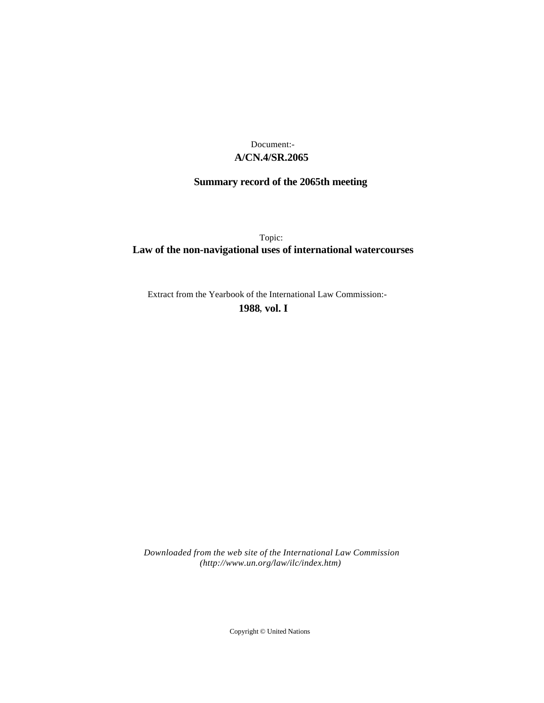# **A/CN.4/SR.2065** Document:-

# **Summary record of the 2065th meeting**

Topic: **Law of the non-navigational uses of international watercourses**

Extract from the Yearbook of the International Law Commission:-

**1988** , **vol. I**

*Downloaded from the web site of the International Law Commission (http://www.un.org/law/ilc/index.htm)*

Copyright © United Nations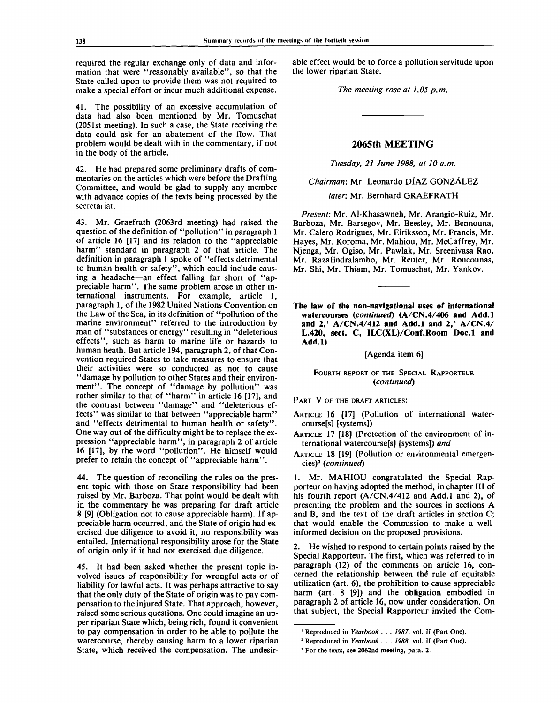required the regular exchange only of data and information that were "reasonably available", so that the State called upon to provide them was not required to make a special effort or incur much additional expense.

41. The possibility of an excessive accumulation of data had also been mentioned by Mr. Tomuschat (2051st meeting). In such a case, the State receiving the data could ask for an abatement of the flow. That problem would be dealt with in the commentary, if not in the body of the article.

42. He had prepared some preliminary drafts of commentaries on the articles which were before the Drafting Committee, and would be glad to supply any member with advance copies of the texts being processed by the secretariat.

43. Mr. Graefrath (2063rd meeting) had raised the question of the definition of "pollution" in paragraph 1 of article 16 [17] and its relation to the "appreciable harm" standard in paragraph 2 of that article. The definition in paragraph 1 spoke of "effects detrimental to human health or safety", which could include causing a headache—an effect falling far short of "appreciable harm". The same problem arose in other international instruments. For example, article 1, paragraph 1, of the 1982 United Nations Convention on the Law of the Sea, in its definition of "pollution of the marine environment" referred to the introduction by man of "substances or energy" resulting in "deleterious effects", such as harm to marine life or hazards to human heath. But article 194, paragraph 2, of that Convention required States to take measures to ensure that their activities were so conducted as not to cause "damage by pollution to other States and their environment". The concept of "damage by pollution" was rather similar to that of "harm" in article 16 [17], and the contrast between "damage" and "deleterious effects" was similar to that between "appreciable harm" and "effects detrimental to human health or safety". One way out of the difficulty might be to replace the expression "appreciable harm", in paragraph 2 of article 16 [17], by the word "pollution". He himself would prefer to retain the concept of "appreciable harm".

44. The question of reconciling the rules on the present topic with those on State responsibility had been raised by Mr. Barboza. That point would be dealt with in the commentary he was preparing for draft article 8 [9] (Obligation not to cause appreciable harm). If appreciable harm occurred, and the State of origin had exercised due diligence to avoid it, no responsibility was entailed. International responsibility arose for the State of origin only if it had not exercised due diligence.

45. It had been asked whether the present topic involved issues of responsibility for wrongful acts or of liability for lawful acts. It was perhaps attractive to say that the only duty of the State of origin was to pay compensation to the injured State. That approach, however, raised some serious questions. One could imagine an upper riparian State which, being rich, found it convenient to pay compensation in order to be able to pollute the watercourse, thereby causing harm to a lower riparian State, which received the compensation. The undesirable effect would be to force a pollution servitude upon the lower riparian State.

*The meeting rose at 1.05 p.m.*

## **2065th MEETING**

*Tuesday, 21 June 1988, at 10 a.m.*

*Chairman:* Mr. Leonardo DIAZ GONZALEZ

*later:* Mr. Bernhard GRAEFRATH

*Present:* Mr. Al-Khasawneh, Mr. Arangio-Ruiz, Mr. Barboza, Mr. Barsegov, Mr. Beesley, Mr. Bennouna, Mr. Calero Rodrigues, Mr. Eiriksson, Mr. Francis, Mr. Hayes, Mr. Koroma, Mr. Mahiou, Mr. McCaffrey, Mr. Njenga, Mr. Ogiso, Mr. Pawlak, Mr. Sreenivasa Rao, Mr. Razafindralambo, Mr. Reuter, Mr. Roucounas, Mr. Shi, Mr. Thiam, Mr. Tomuschat, Mr. Yankov.

**The law** of **the non-navigational** uses **of international** watercourses *{continued)* (A/CN.**4/406 and Add.l and 2,<sup>1</sup> A/CN.4/412 and Add.l and 2,<sup>2</sup> A/CN.4/ L.420, sect. C, ILC(XL)/Conf.Room Doc.l and Add.l)**

[Agenda item 6]

### FOURTH REPORT OF THE SPECIAL RAPPORTEUR *{continued)*

PART V OF THE DRAFT ARTICLES:

- ARTICLE 16 [17] (Pollution of international watercourse[s] [systems])
- ARTICLE 17 [18] (Protection of the environment of international watercourse[s] [systems]) *and*
- ARTICLE 18 [19] (Pollution or environmental emergencies)<sup>3</sup> (continued)

1. Mr. MAHIOU congratulated the Special Rapporteur on having adopted the method, in chapter III of his fourth report (A/CN.4/412 and Add.1 and 2), of presenting the problem and the sources in sections A and B, and the text of the draft articles in section C; that would enable the Commission to make a wellinformed decision on the proposed provisions.

2. He wished to respond to certain points raised by the Special Rapporteur. The first, which was referred to in paragraph (12) of the comments on article 16, concerned the relationship between the rule of equitable utilization (art. 6), the prohibition to cause appreciable harm (art. 8 [9]) and the obligation embodied in paragraph 2 of article 16, now under consideration. On that subject, the Special Rapporteur invited the Com-

<sup>&</sup>lt;sup>1</sup> Reproduced in Yearbook . . . 1987, vol. II (Part One).

<sup>2</sup> Reproduced in *Yearbook . . . 1988,* vol. II (Part One).

<sup>3</sup> For the texts, see 2062nd meeting, para. 2.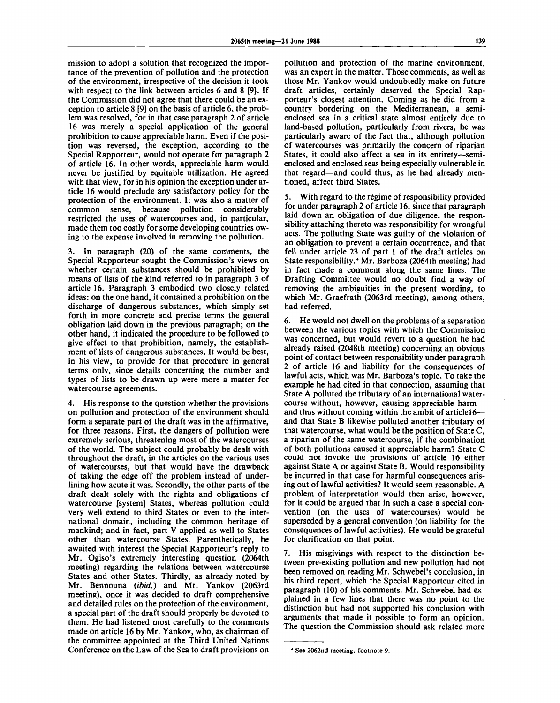mission to adopt a solution that recognized the importance of the prevention of pollution and the protection of the environment, irrespective of the decision it took with respect to the link between articles 6 and 8 [9]. If the Commission did not agree that there could be an exception to article 8 [9] on the basis of article 6, the problem was resolved, for in that case paragraph 2 of article 16 was merely a special application of the general prohibition to cause appreciable harm. Even if the position was reversed, the exception, according to the Special Rapporteur, would not operate for paragraph 2 of" article 16. In other words, appreciable harm would never be justified by equitable utilization. He agreed with that view, for in his opinion the exception under article 16 would preclude any satisfactory policy for the protection of the environment. It was also a matter of common sense, because pollution considerably restricted the uses of watercourses and, in particular, made them too costly for some developing countries owing to the expense involved in removing the pollution.

3. In paragraph (20) of the same comments, the Special Rapporteur sought the Commission's views on whether certain substances should be prohibited by means of lists of the kind referred to in paragraph 3 of article 16. Paragraph 3 embodied two closely related ideas: on the one hand, it contained a prohibition on the discharge of dangerous substances, which simply set forth in more concrete and precise terms the general obligation laid down in the previous paragraph; on the other hand, it indicated the procedure to be followed to give effect to that prohibition, namely, the establishment of lists of dangerous substances. It would be best, in his view, to provide for that procedure in general terms only, since details concerning the number and types of lists to be drawn up were more a matter for watercourse agreements.

4. His response to the question whether the provisions on pollution and protection of the environment should form a separate part of the draft was in the affirmative, for three reasons. First, the dangers of pollution were extremely serious, threatening most of the watercourses of the world. The subject could probably be dealt with throughout the draft, in the articles on the various uses of watercourses, but that would have the drawback of taking the edge off the problem instead of underlining how acute it was. Secondly, the other parts of the draft dealt solely with the rights and obligations of watercourse [system] States, whereas pollution could very well extend to third States or even to the international domain, including the common heritage of mankind; and in fact, part V applied as well to States other than watercourse States. Parenthetically, he awaited with interest the Special Rapporteur's reply to Mr. Ogiso's extremely interesting question (2064th meeting) regarding the relations between watercourse States and other States. Thirdly, as already noted by Mr. Bennouna *(ibid.)* and Mr. Yankov (2063rd meeting), once it was decided to draft comprehensive and detailed rules on the protection of the environment, a special part of the draft should properly be devoted to them. He had listened most carefully to the comments made on article 16 by Mr. Yankov, who, as chairman of the committee appointed at the Third United Nations Conference on the Law of the Sea to draft provisions on pollution and protection of the marine environment, was an expert in the matter. Those comments, as well as those Mr. Yankov would undoubtedly make on future draft articles, certainly deserved the Special Rapporteur's closest attention. Coming as he did from a country bordering on the Mediterranean, a semienclosed sea in a critical state almost entirely due to land-based pollution, particularly from rivers, he was particularly aware of the fact that, although pollution of watercourses was primarily the concern of riparian States, it could also affect a sea in its entirety—semienclosed and enclosed seas being especially vulnerable in that regard—and could thus, as he had already mentioned, affect third States.

5. With regard to the régime of responsibility provided for under paragraph 2 of article 16, since that paragraph laid down an obligation of due diligence, the responsibility attaching thereto was responsibility for wrongful acts. The polluting State was guilty of the violation of an obligation to prevent a certain occurrence, and that fell under article 23 of part 1 of the draft articles on State responsibility.<sup>4</sup> Mr. Barboza (2064th meeting) had in fact made a comment along the same lines. The Drafting Committee would no doubt find a way of removing the ambiguities in the present wording, to which Mr. Graefrath (2063rd meeting), among others, had referred.

6. He would not dwell on the problems of a separation between the various topics with which the Commission was concerned, but would revert to a question he had already raised (2048th meeting) concerning an obvious point of contact between responsibility under paragraph 2 of article 16 and liability for the consequences of lawful acts, which was Mr. Barboza's topic. To take the example he had cited in that connection, assuming that State A polluted the tributary of an international watercourse without, however, causing appreciable harm and thus without coming within the ambit of article 16– and that State B likewise polluted another tributary of that watercourse, what would be the position of State C, a riparian of the same watercourse, if the combination of both pollutions caused it appreciable harm? State C could not invoke the provisions of article 16 either against State A or against State B. Would responsibility be incurred in that case for harmful consequences arising out of lawful activities? It would seem reasonable. A problem of interpretation would then arise, however, for it could be argued that in such a case a special convention (on the uses of watercourses) would be superseded by a general convention (on liability for the consequences of lawful activities). He would be grateful for clarification on that point.

7. His misgivings with respect to the distinction between pre-existing pollution and new pollution had not been removed on reading Mr. Schwebel's conclusion, in his third report, which the Special Rapporteur cited in paragraph (10) of his comments. Mr. Schwebel had explained in a few lines that there was no point to the distinction but had not supported his conclusion with arguments that made it possible to form an opinion. The question the Commission should ask related more

<sup>4</sup> See 2062nd meeting, footnote 9.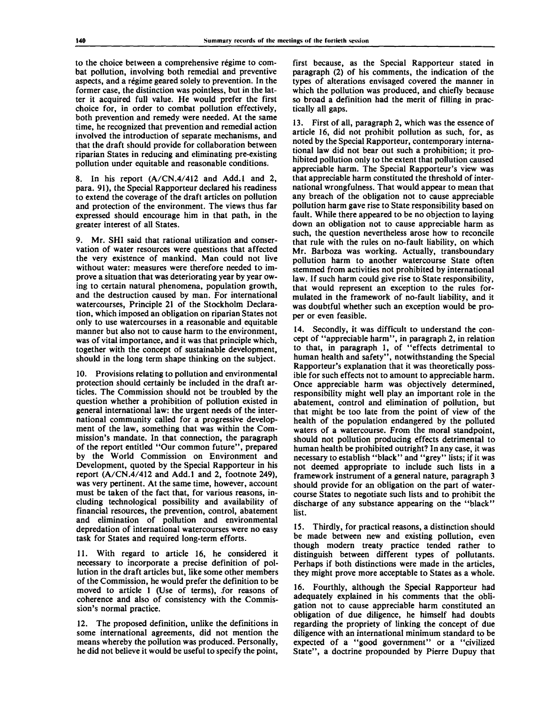to the choice between a comprehensive regime to combat pollution, involving both remedial and preventive aspects, and a regime geared solely to prevention. In the former case, the distinction was pointless, but in the latter it acquired full value. He would prefer the first choice for, in order to combat pollution effectively, both prevention and remedy were needed. At the same time, he recognized that prevention and remedial action involved the introduction of separate mechanisms, and that the draft should provide for collaboration between riparian States in reducing and eliminating pre-existing pollution under equitable and reasonable conditions.

8. In his report (A/CN.4/412 and Add.l and 2, para. 91), the Special Rapporteur declared his readiness to extend the coverage of the draft articles on pollution and protection of the environment. The views thus far expressed should encourage him in that path, in the greater interest of all States.

9. Mr. SHI said that rational utilization and conservation of water resources were questions that affected the very existence of mankind. Man could not live without water: measures were therefore needed to improve a situation that was deteriorating year by year owing to certain natural phenomena, population growth, and the destruction caused by man. For international watercourses, Principle 21 of the Stockholm Declaration, which imposed an obligation on riparian States not only to use watercourses in a reasonable and equitable manner but also not to cause harm to the environment, was of vital importance, and it was that principle which, together with the concept of sustainable development, should in the long term shape thinking on the subject.

10. Provisions relating to pollution and environmental protection should certainly be included in the draft articles. The Commission should not be troubled by the question whether a prohibition of pollution existed in general international law: the urgent needs of the international community called for a progressive development of the law, something that was within the Commission's mandate. In that connection, the paragraph of the report entitled "Our common future", prepared by the World Commission on Environment and Development, quoted by the Special Rapporteur in his report (A/CN.4/412 and Add.l and 2, footnote 249), was very pertinent. At the same time, however, account must be taken of the fact that, for various reasons, including technological possibility and availability of financial resources, the prevention, control, abatement and elimination of pollution and environmental depredation of international watercourses were no easy task for States and required long-term efforts.

11. With regard to article 16, he considered it necessary to incorporate a precise definition of pollution in the draft articles but, like some other members of the Commission, he would prefer the definition to be moved to article 1 (Use of terms), for reasons of coherence and also of consistency with the Commission's normal practice.

12. The proposed definition, unlike the definitions in some international agreements, did not mention the means whereby the pollution was produced. Personally, he did not believe it would be useful to specify the point,

first because, as the Special Rapporteur stated in paragraph (2) of his comments, the indication of the types of alterations envisaged covered the manner in which the pollution was produced, and chiefly because so broad a definition had the merit of filling in practically all gaps.

13. First of all, paragraph 2, which was the essence of article 16, did not prohibit pollution as such, for, as noted by the Special Rapporteur, contemporary international law did not bear out such a prohibition; it prohibited pollution only to the extent that pollution caused appreciable harm. The Special Rapporteur's view was that appreciable harm constituted the threshold of international wrongfulness. That would appear to mean that any breach of the obligation not to cause appreciable pollution harm gave rise to State responsibility based on fault. While there appeared to be no objection to laying down an obligation not to cause appreciable harm as such, the question nevertheless arose how to reconcile that rule with the rules on no-fault liability, on which Mr. Barboza was working. Actually, transboundary pollution harm to another watercourse State often stemmed from activities not prohibited by international law. If such harm could give rise to State responsibility, that would represent an exception to the rules formulated in the framework of no-fault liability, and it was doubtful whether such an exception would be proper or even feasible.

14. Secondly, it was difficult to understand the concept of "appreciable harm", in paragraph 2, in relation to that, in paragraph 1, of "effects detrimental to human health and safety", notwithstanding the Special Rapporteur's explanation that it was theoretically possible for such effects not to amount to appreciable harm. Once appreciable harm was objectively determined, responsibility might well play an important role in the abatement, control and elimination of pollution, but that might be too late from the point of view of the health of the population endangered by the polluted waters of a watercourse. From the moral standpoint, should not pollution producing effects detrimental to human health be prohibited outright? In any case, it was necessary to establish "black" and "grey" lists; if it was not deemed appropriate to include such lists in a framework instrument of a general nature, paragraph 3 should provide for an obligation on the part of watercourse States to negotiate such lists and to prohibit the discharge of any substance appearing on the "black" list.

15. Thirdly, for practical reasons, a distinction should be made between new and existing pollution, even though modern treaty practice tended rather to distinguish between different types of pollutants. Perhaps if both distinctions were made in the articles, they might prove more acceptable to States as a whole.

16. Fourthly, although the Special Rapporteur had adequately explained in his comments that the obligation not to cause appreciable harm constituted an obligation of due diligence, he himself had doubts regarding the propriety of linking the concept of due diligence with an international minimum standard to be expected of a "good government" or a "civilized State", a doctrine propounded by Pierre Dupuy that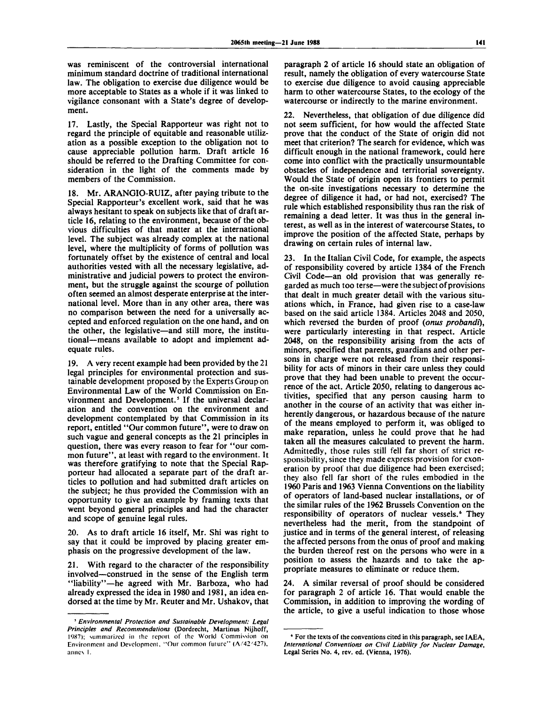was reminiscent of the controversial international minimum standard doctrine of traditional international law. The obligation to exercise due diligence would be more acceptable to States as a whole if it was linked to vigilance consonant with a State's degree of development.

17. Lastly, the Special Rapporteur was right not to regard the principle of equitable and reasonable utilization as a possible exception to the obligation not to cause appreciable pollution harm. Draft article 16 should be referred to the Drafting Committee for consideration in the light of the comments made by members of the Commission.

18. Mr. ARANGIO-RUIZ, after paying tribute to the Special Rapporteur's excellent work, said that he was always hesitant to speak on subjects like that of draft article 16, relating to the environment, because of the obvious difficulties of that matter at the international level. The subject was already complex at the national level, where the multiplicity of forms of pollution was fortunately offset by the existence of central and local authorities vested with all the necessary legislative, administrative and judicial powers to protect the environment, but the struggle against the scourge of pollution often seemed an almost desperate enterprise at the international level. More than in any other area, there was no comparison between the need for a universally accepted and enforced regulation on the one hand, and on the other, the legislative—and still more, the institutional—means available to adopt and implement adequate rules.

19. A very recent example had been provided by the 21 legal principles for environmental protection and sustainable development proposed by the Experts Group on Environmental Law of the World Commission on Environment and Development.<sup>5</sup> If the universal declaration and the convention on the environment and development contemplated by that Commission in its report, entitled "Our common future", were to draw on such vague and general concepts as the 21 principles in question, there was every reason to fear for "our common future", at least with regard to the environment. It was therefore gratifying to note that the Special Rapporteur had allocated a separate part of the draft articles to pollution and had submitted draft articles on the subject; he thus provided the Commission with an opportunity to give an example by framing texts that went beyond general principles and had the character and scope of genuine legal rules.

20. As to draft article 16 itself, Mr. Shi was right to say that it could be improved by placing greater emphasis on the progressive development of the law.

21. With regard to the character of the responsibility involved—construed in the sense of the English term "liability"—he agreed with Mr. Barboza, who had already expressed the idea in 1980 and 1981, an idea endorsed at the time by Mr. Reuter and Mr. Ushakov, that

paragraph 2 of article 16 should state an obligation of result, namely the obligation of every watercourse State to exercise due diligence to avoid causing appreciable harm to other watercourse States, to the ecology of the watercourse or indirectly to the marine environment.

22. Nevertheless, that obligation of due diligence did not seem sufficient, for how would the affected State prove that the conduct of the State of origin did not meet that criterion? The search for evidence, which was difficult enough in the national framework, could here come into conflict with the practically unsurmountable obstacles of independence and territorial sovereignty. Would the State of origin open its frontiers to permit the on-site investigations necessary to determine the degree of diligence it had, or had not, exercised? The rule which established responsibility thus ran the risk of remaining a dead letter. It was thus in the general interest, as well as in the interest of watercourse States, to improve the position of the affected State, perhaps by drawing on certain rules of internal law.

23. In the Italian Civil Code, for example, the aspects of responsibility covered by article 1384 of the French Civil Code—an old provision that was generally regarded as much too terse—were the subject of provisions that dealt in much greater detail with the various situations which, in France, had given rise to a case-law based on the said article 1384. Articles 2048 and 2050, which reversed the burden of proof *(onus probandi),* were particularly interesting in that respect. Article 2048, on the responsibility arising from the acts of minors, specified that parents, guardians and other persons in charge were not released from their responsibility for acts of minors in their care unless they could prove that they had been unable to prevent the occurrence of the act. Article 2050, relating to dangerous activities, specified that any person causing harm to another in the course of an activity that was either inherently dangerous, or hazardous because of the nature of the means employed to perform it, was obliged to make reparation, unless he could prove that he had taken all the measures calculated to prevent the harm. Admittedly, those rules still fell far short of strict responsibility, since they made express provision for exoneration by proof that due diligence had been exercised; they also fell far short of the rules embodied in the 1960 Paris and 1963 Vienna Conventions on the liability of operators of land-based nuclear installations, or of the similar rules of the 1962 Brussels Convention on the responsibility of operators of nuclear vessels.<sup>6</sup> They nevertheless had the merit, from the standpoint of justice and in terms of the general interest, of releasing the affected persons from the onus of proof and making the burden thereof rest on the persons who were in a position to assess the hazards and to take the appropriate measures to eliminate or reduce them.

24. A similar reversal of proof should be considered for paragraph 2 of article 16. That would enable the Commission, in addition to improving the wording of the article, to give a useful indication to those whose

<sup>5</sup>  *Environmental Protection and Sustainable Development: Legal Principles and Recommendations* (Dordrecht, Martinus Nijhoff, 1987); summarized in the reporl of (he World Commission on Environment and Development, "Our common future" (A/42/427), annex I.

<sup>&#</sup>x27; For the texts of the conventions cited in this paragraph, see IAEA, *International Conventions on Civil Liability for Nuclear Damage,* Legal Series No. 4, rev. ed. (Vienna, 1976).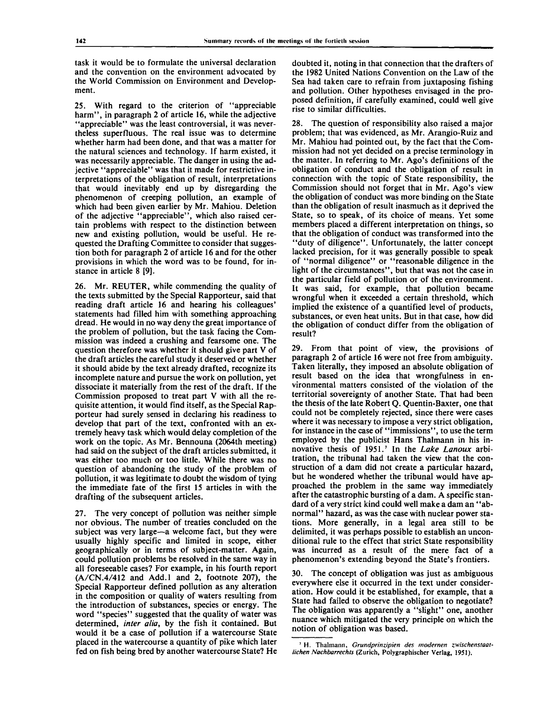task it would be to formulate the universal declaration and the convention on the environment advocated by the World Commission on Environment and Development.

25. With regard to the criterion of "appreciable harm", in paragraph 2 of article 16, while the adjective "appreciable" was the least controversial, it was nevertheless superfluous. The real issue was to determine whether harm had been done, and that was a matter for the natural sciences and technology. If harm existed, it was necessarily appreciable. The danger in using the adjective "appreciable" was that it made for restrictive interpretations of the obligation of result, interpretations that would inevitably end up by disregarding the phenomenon of creeping pollution, an example of which had been given earlier by Mr. Mahiou. Deletion of the adjective "appreciable", which also raised certain problems with respect to the distinction between new and existing pollution, would be useful. He requested the Drafting Committee to consider that suggestion both for paragraph 2 of article 16 and for the other provisions in which the word was to be found, for instance in article 8 [9].

26. Mr. REUTER, while commending the quality of the texts submitted by the Special Rapporteur, said that reading draft article 16 and hearing his colleagues' statements had filled him with something approaching dread. He would in no way deny the great importance of the problem of pollution, but the task facing the Commission was indeed a crushing and fearsome one. The question therefore was whether it should give part V of the draft articles the careful study it deserved or whether it should abide by the text already drafted, recognize its incomplete nature and pursue the work on pollution, yet dissociate it materially from the rest of the draft. If the Commission proposed to treat part V with all the requisite attention, it would find itself, as the Special Rapporteur had surely sensed in declaring his readiness to develop that part of the text, confronted with an extremely heavy task which would delay completion of the work on the topic. As Mr. Bennouna (2064th meeting) had said on the subject of the draft articles submitted, it was either too much or too little. While there was no question of abandoning the study of the problem of pollution, it was legitimate to doubt the wisdom of tying the immediate fate of the first 15 articles in with the drafting of the subsequent articles.

27. The very concept of pollution was neither simple nor obvious. The number of treaties concluded on the subject was very large—a welcome fact, but they were usually highly specific and limited in scope, either geographically or in terms of subject-matter. Again, could pollution problems be resolved in the same way in all foreseeable cases? For example, in his fourth report (A/CN.4/412 and Add.l and 2, footnote 207), the Special Rapporteur defined pollution as any alteration in the composition or quality of waters resulting from the introduction of substances, species or energy. The word "species" suggested that the quality of water was determined, *inter alia,* by the fish it contained. But would it be a case of pollution if a watercourse State placed in the watercourse a quantity of pike which later fed on fish being bred by another watercourse State? He

doubted it, noting in that connection that the drafters of the 1982 United Nations Convention on the Law of the Sea had taken care to refrain from juxtaposing fishing and pollution. Other hypotheses envisaged in the proposed definition, if carefully examined, could well give rise to similar difficulties.

28. The question of responsibility also raised a major problem; that was evidenced, as Mr. Arangio-Ruiz and Mr. Mahiou had pointed out, by the fact that the Commission had not yet decided on a precise terminology in the matter. In referring to Mr. Ago's definitions of the obligation of conduct and the obligation of result in connection with the topic of State responsibility, the Commission should not forget that in Mr. Ago's view the obligation of conduct was more binding on the State than the obligation of result inasmuch as it deprived the State, so to speak, of its choice of means. Yet some members placed a different interpretation on things, so that the obligation of conduct was transformed into the "duty of diligence". Unfortunately, the latter concept lacked precision, for it was generally possible to speak of "normal diligence" or "reasonable diligence in the light of the circumstances", but that was not the case in the particular field of pollution or of the environment. It was said, for example, that pollution became wrongful when it exceeded a certain threshold, which implied the existence of a quantified level of products, substances, or even heat units. But in that case, how did the obligation of conduct differ from the obligation of result?

29. From that point of view, the provisions of paragraph 2 of article 16 were not free from ambiguity. Taken literally, they imposed an absolute obligation of result based on the idea that wrongfulness in environmental matters consisted of the violation of the territorial sovereignty of another State. That had been the thesis of the late Robert Q. Quentin-Baxter, one that could not be completely rejected, since there were cases where it was necessary to impose a very strict obligation, for instance in the case of "immissions", to use the term employed by the publicist Hans Thalmann in his innovative thesis of 1951.<sup>7</sup> In the *Lake Lanoux* arbitration, the tribunal had taken the view that the construction of a dam did not create a particular hazard, but he wondered whether the tribunal would have approached the problem in the same way immediately after the catastrophic bursting of a dam. A specific standard of a very strict kind could well make a dam an "abnormal" hazard, as was the case with nuclear power stations. More generally, in a legal area still to be delimited, it was perhaps possible to establish an unconditional rule to the effect that strict State responsibility was incurred as a result of the mere fact of a phenomenon's extending beyond the State's frontiers.

30. The concept of obligation was just as ambiguous everywhere else it occurred in the text under consideration. How could it be established, for example, that a State had failed to observe the obligation to negotiate? The obligation was apparently a "slight" one, another nuance which mitigated the very principle on which the notion of obligation was based.

<sup>7</sup> H. Thalmann, *Grundprinzipien des modernen zwischenstaatlichen Nachbarrechts* (Zurich, Polygraphischer Verlag, 1951).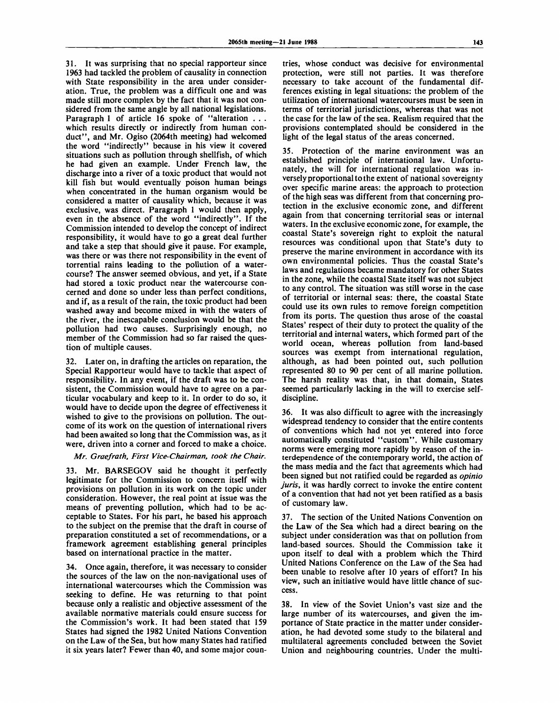31. It was surprising that no special rapporteur since 1963 had tackled the problem of causality in connection with State responsibility in the area under consideration. True, the problem was a difficult one and was made still more complex by the fact that it was not considered from the same angle by all national legislations. Paragraph 1 of article 16 spoke of "alteration . . . which results directly or indirectly from human conduct", and Mr. Ogiso (2064th meeting) had welcomed the word "indirectly" because in his view it covered situations such as pollution through shellfish, of which he had given an example. Under French law, the discharge into a river of a toxic product that would not kill fish but would eventually poison human beings when concentrated in the human organism would be considered a matter of causality which, because it was exclusive, was direct. Paragraph 1 would then apply, even in the absence of the word "indirectly". If the Commission intended to develop the concept of indirect responsibility, it would have to go a great deal further and take a step that should give it pause. For example, was there or was there not responsibility in the event of torrential rains leading to the pollution of a watercourse? The answer seemed obvious, and yet, if a State had stored a toxic product near the watercourse concerned and done so under less than perfect conditions, and if, as a result of the rain, the toxic product had been washed away and become mixed in with the waters of the river, the inescapable conclusion would be that the pollution had two causes. Surprisingly enough, no member of the Commission had so far raised the question of multiple causes.

32. Later on, in drafting the articles on reparation, the Special Rapporteur would have to tackle that aspect of responsibility. In any event, if the draft was to be consistent, the Commission would have to agree on a particular vocabulary and keep to it. In order to do so, it would have to decide upon the degree of effectiveness it wished to give to the provisions on pollution. The outcome of its work on the question of international rivers had been awaited so long that the Commission was, as it were, driven into a corner and forced to make a choice.

*Mr. Graefrath, First Vice-Chairman, took the Chair.*

33. Mr. BARSEGOV said he thought it perfectly legitimate for the Commission to concern itself with provisions on pollution in its work on the topic under consideration. However, the real point at issue was the means of preventing pollution, which had to be acceptable to States. For his part, he based his approach to the subject on the premise that the draft in course of preparation constituted a set of recommendations, or a framework agreement establishing general principles based on international practice in the matter.

34. Once again, therefore, it was necessary to consider the sources of the law on the non-navigational uses of international watercourses which the Commission was seeking to define. He was returning to that point because only a realistic and objective assessment of the available normative materials could ensure success for the Commission's work. It had been stated that 159 States had signed the 1982 United Nations Convention on the Law of the Sea, but how many States had ratified it six years later? Fewer than 40, and some major countries, whose conduct was decisive for environmental protection, were still not parties. It was therefore necessary to take account of the fundamental differences existing in legal situations: the problem of the utilization of international watercourses must be seen in terms of territorial jurisdictions, whereas that was not the case for the law of the sea. Realism required that the provisions contemplated should be considered in the light of the legal status of the areas concerned.

35. Protection of the marine environment was an established principle of international law. Unfortunately, the will for international regulation was inversely proportional to the extent of national sovereignty over specific marine areas: the approach to protection of the high seas was different from that concerning protection in the exclusive economic zone, and different again from that concerning territorial seas or internal waters. In the exclusive economic zone, for example, the coastal State's sovereign right to exploit the natural resources was conditional upon that State's duty to preserve the marine environment in accordance with its own environmental policies. Thus the coastal State's laws and regulations became mandatory for other States in the zone, while the coastal State itself was not subject to any control. The situation was still worse in the case of territorial or internal seas: there, the coastal State could use its own rules to remove foreign competition from its ports. The question thus arose of the coastal States' respect of their duty to protect the quality of the territorial and internal waters, which formed part of the world ocean, whereas pollution from land-based sources was exempt from international regulation, although, as had been pointed out, such pollution represented 80 to 90 per cent of all marine pollution. The harsh reality was that, in that domain, States seemed particularly lacking in the will to exercise selfdiscipline.

36. It was also difficult to agree with the increasingly widespread tendency to consider that the entire contents of conventions which had not yet entered into force automatically constituted "custom". While customary norms were emerging more rapidly by reason of the interdependence of the contemporary world, the action of the mass media and the fact that agreements which had been signed but not ratified could be regarded as *opinio juris,* it was hardly correct to invoke the entire content of a convention that had not yet been ratified as a basis of customary law.

37. The section of the United Nations Convention on the Law of the Sea which had a direct bearing on the subject under consideration was that on pollution from land-based sources. Should the Commission take it upon itself to deal with a problem which the Third United Nations Conference on the Law of the Sea had been unable to resolve after 10 years of effort? In his view, such an initiative would have little chance of success.

38. In view of the Soviet Union's vast size and the large number of its watercourses, and given the importance of State practice in the matter under consideration, he had devoted some study to the bilateral and multilateral agreements concluded between the Soviet Union and neighbouring countries. Under the multi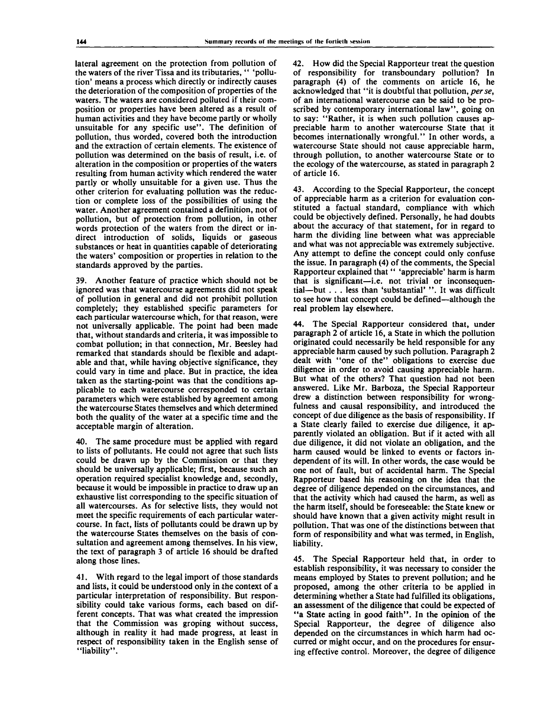lateral agreement on the protection from pollution of the waters of the river Tissa and its tributaries, " 'pollution' means a process which directly or indirectly causes the deterioration of the composition of properties of the waters. The waters are considered polluted if their composition or properties have been altered as a result of human activities and they have become partly or wholly unsuitable for any specific use". The definition of pollution, thus worded, covered both the introduction and the extraction of certain elements. The existence of pollution was determined on the basis of result, i.e. of alteration in the composition or properties of the waters resulting from human activity which rendered the water partly or wholly unsuitable for a given use. Thus the other criterion for evaluating pollution was the reduction or complete loss of the possibilities of using the water. Another agreement contained a definition, not of pollution, but of protection from pollution, in other words protection of the waters from the direct or indirect introduction of solids, liquids or gaseous substances or heat in quantities capable of deteriorating the waters' composition or properties in relation to the standards approved by the parties.

39. Another feature of practice which should not be ignored was that watercourse agreements did not speak of pollution in general and did not prohibit pollution completely; they established specific parameters for each particular watercourse which, for that reason, were not universally applicable. The point had been made that, without standards and criteria, it was impossible to combat pollution; in that connection, Mr. Beesley had remarked that standards should be flexible and adaptable and that, while having objective significance, they could vary in time and place. But in practice, the idea taken as the starting-point was that the conditions applicable to each watercourse corresponded to certain parameters which were established by agreement among the watercourse States themselves and which determined both the quality of the water at a specific time and the acceptable margin of alteration.

40. The same procedure must be applied with regard to lists of pollutants. He could not agree that such lists could be drawn up by the Commission or that they should be universally applicable; first, because such an operation required specialist knowledge and, secondly, because it would be impossible in practice to draw up an exhaustive list corresponding to the specific situation of all watercourses. As for selective lists, they would not meet the specific requirements of each particular watercourse. In fact, lists of pollutants could be drawn up by the watercourse States themselves on the basis of consultation and agreement among themselves. In his view, the text of paragraph 3 of article 16 should be drafted along those lines.

41. With regard to the legal import of those standards and lists, it could be understood only in the context of a particular interpretation of responsibility. But responsibility could take various forms, each based on different concepts. That was what created the impression that the Commission was groping without success, although in reality it had made progress, at least in respect of responsibility taken in the English sense of "liability".

42. How did the Special Rapporteur treat the question of responsibility for transboundary pollution? In paragraph (4) of the comments on article 16, he acknowledged that "it is doubtful that pollution, *perse,* of an international watercourse can be said to be proscribed by contemporary international law", going on to say: "Rather, it is when such pollution causes appreciable harm to another watercourse State that it becomes internationally wrongful." In other words, a watercourse State should not cause appreciable harm, through pollution, to another watercourse State or to the ecology of the watercourse, as stated in paragraph 2 of article 16.

43. According to the Special Rapporteur, the concept of appreciable harm as a criterion for evaluation constituted a factual standard, compliance with which could be objectively defined. Personally, he had doubts about the accuracy of that statement, for in regard to harm the dividing line between what was appreciable and what was not appreciable was extremely subjective. Any attempt to define the concept could only confuse the issue. In paragraph (4) of the comments, the Special Rapporteur explained that " 'appreciable' harm is harm that is significant—i.e. not trivial or inconsequential—but . . . less than 'substantial' ".It was difficult to see how that concept could be defined—although the real problem lay elsewhere.

44. The Special Rapporteur considered that, under paragraph 2 of article 16, a State in which the pollution originated could necessarily be held responsible for any appreciable harm caused by such pollution. Paragraph 2 dealt with "one of the" obligations to exercise due diligence in order to avoid causing appreciable harm. But what of the others? That question had not been answered. Like Mr. Barboza, the Special Rapporteur drew a distinction between responsibility for wrongfulness and causal responsibility, and introduced the concept of due diligence as the basis of responsibility. If a State clearly failed to exercise due diligence, it apparently violated an obligation. But if it acted with all due diligence, it did not violate an obligation, and the harm caused would be linked to events or factors independent of its will. In other words, the case would be one not of fault, but of accidental harm. The Special Rapporteur based his reasoning on the idea that the degree of diligence depended on the circumstances, and that the activity which had caused the harm, as well as the harm itself, should be foreseeable: the State knew or should have known that a given activity might result in pollution. That was one of the distinctions between that form of responsibility and what was termed, in English, liability.

45. The Special Rapporteur held that, in order to establish responsibility, it was necessary to consider the means employed by States to prevent pollution; and he proposed, among the other criteria to be applied in determining whether a State had fulfilled its obligations, an assessment of the diligence that could be expected of "a State acting in good faith". In the opinion of the Special Rapporteur, the degree of diligence also depended on the circumstances in which harm had occurred or might occur, and on the procedures for ensuring effective control. Moreover, the degree of diligence